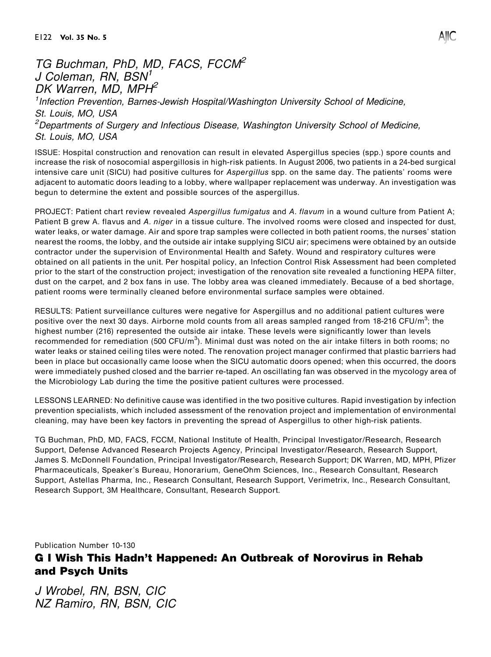## TG Buchman, PhD, MD, FACS, FCCM<sup>2</sup> J Coleman, RN, BSN<sup>1</sup> DK Warren, MD, MPH<sup>2</sup>

<sup>1</sup> Infection Prevention, Barnes-Jewish Hospital/Washington University School of Medicine, St. Louis, MO, USA <sup>2</sup>Departments of Surgery and Infectious Disease, Washington University School of Medicine, St. Louis, MO, USA

ISSUE: Hospital construction and renovation can result in elevated Aspergillus species (spp.) spore counts and increase the risk of nosocomial aspergillosis in high-risk patients. In August 2006, two patients in a 24-bed surgical intensive care unit (SICU) had positive cultures for Aspergillus spp. on the same day. The patients' rooms were adjacent to automatic doors leading to a lobby, where wallpaper replacement was underway. An investigation was begun to determine the extent and possible sources of the aspergillus.

PROJECT: Patient chart review revealed Aspergillus fumigatus and A. flavum in a wound culture from Patient A; Patient B grew A. flavus and A. niger in a tissue culture. The involved rooms were closed and inspected for dust, water leaks, or water damage. Air and spore trap samples were collected in both patient rooms, the nurses' station nearest the rooms, the lobby, and the outside air intake supplying SICU air; specimens were obtained by an outside contractor under the supervision of Environmental Health and Safety. Wound and respiratory cultures were obtained on all patients in the unit. Per hospital policy, an Infection Control Risk Assessment had been completed prior to the start of the construction project; investigation of the renovation site revealed a functioning HEPA filter, dust on the carpet, and 2 box fans in use. The lobby area was cleaned immediately. Because of a bed shortage, patient rooms were terminally cleaned before environmental surface samples were obtained.

RESULTS: Patient surveillance cultures were negative for Aspergillus and no additional patient cultures were positive over the next 30 days. Airborne mold counts from all areas sampled ranged from 18-216 CFU/m<sup>3</sup>; the highest number (216) represented the outside air intake. These levels were significantly lower than levels recommended for remediation (500 CFU/m<sup>3</sup>). Minimal dust was noted on the air intake filters in both rooms; no water leaks or stained ceiling tiles were noted. The renovation project manager confirmed that plastic barriers had been in place but occasionally came loose when the SICU automatic doors opened; when this occurred, the doors were immediately pushed closed and the barrier re-taped. An oscillating fan was observed in the mycology area of the Microbiology Lab during the time the positive patient cultures were processed.

LESSONS LEARNED: No definitive cause was identified in the two positive cultures. Rapid investigation by infection prevention specialists, which included assessment of the renovation project and implementation of environmental cleaning, may have been key factors in preventing the spread of Aspergillus to other high-risk patients.

TG Buchman, PhD, MD, FACS, FCCM, National Institute of Health, Principal Investigator/Research, Research Support, Defense Advanced Research Projects Agency, Principal Investigator/Research, Research Support, James S. McDonnell Foundation, Principal Investigator/Research, Research Support; DK Warren, MD, MPH, Pfizer Pharmaceuticals, Speaker's Bureau, Honorarium, GeneOhm Sciences, Inc., Research Consultant, Research Support, Astellas Pharma, Inc., Research Consultant, Research Support, Verimetrix, Inc., Research Consultant, Research Support, 3M Healthcare, Consultant, Research Support.

Publication Number 10-130

## G I Wish This Hadn't Happened: An Outbreak of Norovirus in Rehab and Psych Units

J Wrobel, RN, BSN, CIC NZ Ramiro, RN, BSN, CIC